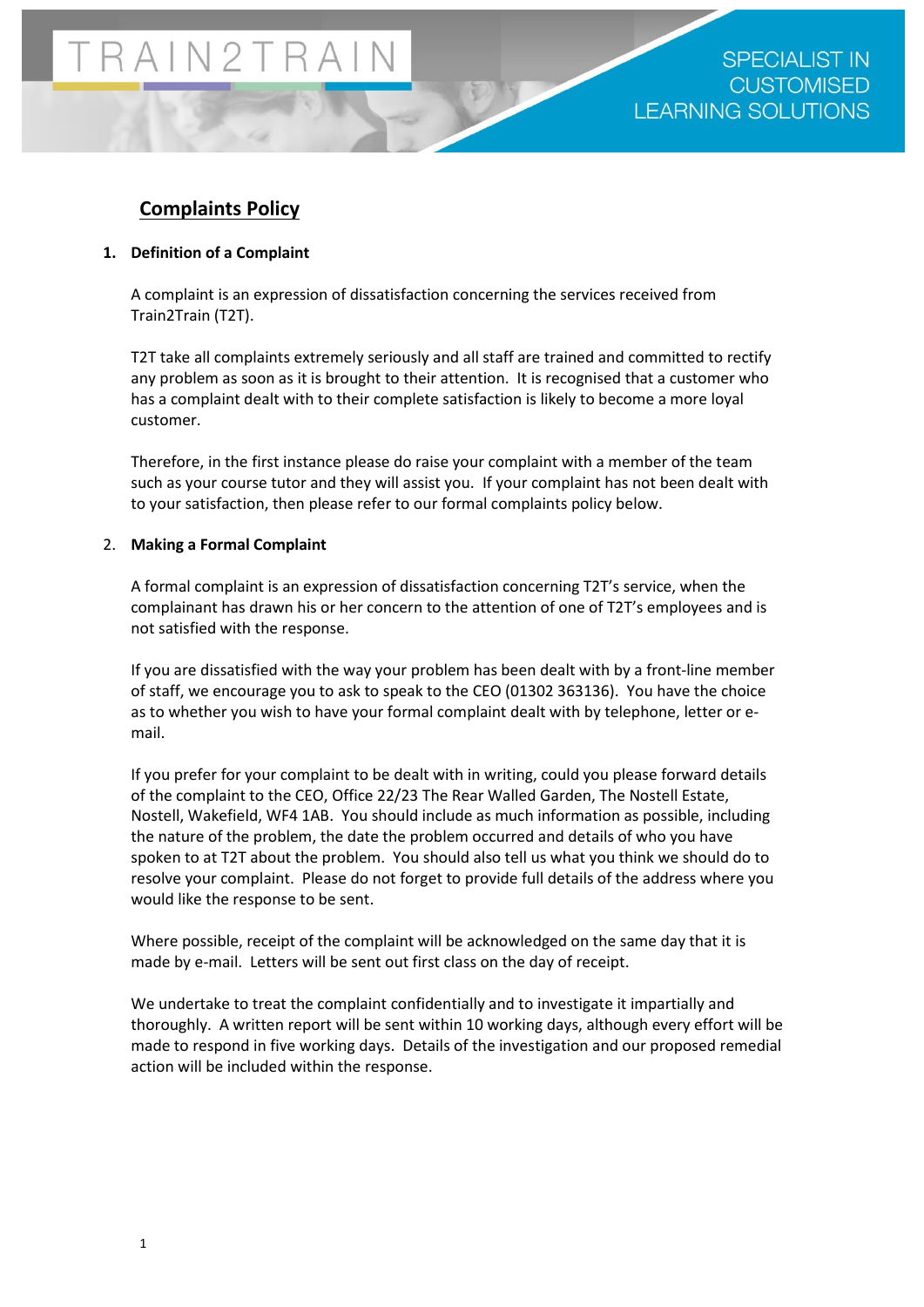## **Complaints Policy**

## **1. Definition of a Complaint**

A complaint is an expression of dissatisfaction concerning the services received from Train2Train (T2T).

T2T take all complaints extremely seriously and all staff are trained and committed to rectify any problem as soon as it is brought to their attention. It is recognised that a customer who has a complaint dealt with to their complete satisfaction is likely to become a more loyal customer.

Therefore, in the first instance please do raise your complaint with a member of the team such as your course tutor and they will assist you. If your complaint has not been dealt with to your satisfaction, then please refer to our formal complaints policy below.

### 2. **Making a Formal Complaint**

A formal complaint is an expression of dissatisfaction concerning T2T's service, when the complainant has drawn his or her concern to the attention of one of T2T's employees and is not satisfied with the response.

If you are dissatisfied with the way your problem has been dealt with by a front-line member of staff, we encourage you to ask to speak to the CEO (01302 363136). You have the choice as to whether you wish to have your formal complaint dealt with by telephone, letter or email.

If you prefer for your complaint to be dealt with in writing, could you please forward details of the complaint to the CEO, Office 22/23 The Rear Walled Garden, The Nostell Estate, Nostell, Wakefield, WF4 1AB. You should include as much information as possible, including the nature of the problem, the date the problem occurred and details of who you have spoken to at T2T about the problem. You should also tell us what you think we should do to resolve your complaint. Please do not forget to provide full details of the address where you would like the response to be sent.

Where possible, receipt of the complaint will be acknowledged on the same day that it is made by e-mail. Letters will be sent out first class on the day of receipt.

We undertake to treat the complaint confidentially and to investigate it impartially and thoroughly. A written report will be sent within 10 working days, although every effort will be made to respond in five working days. Details of the investigation and our proposed remedial action will be included within the response.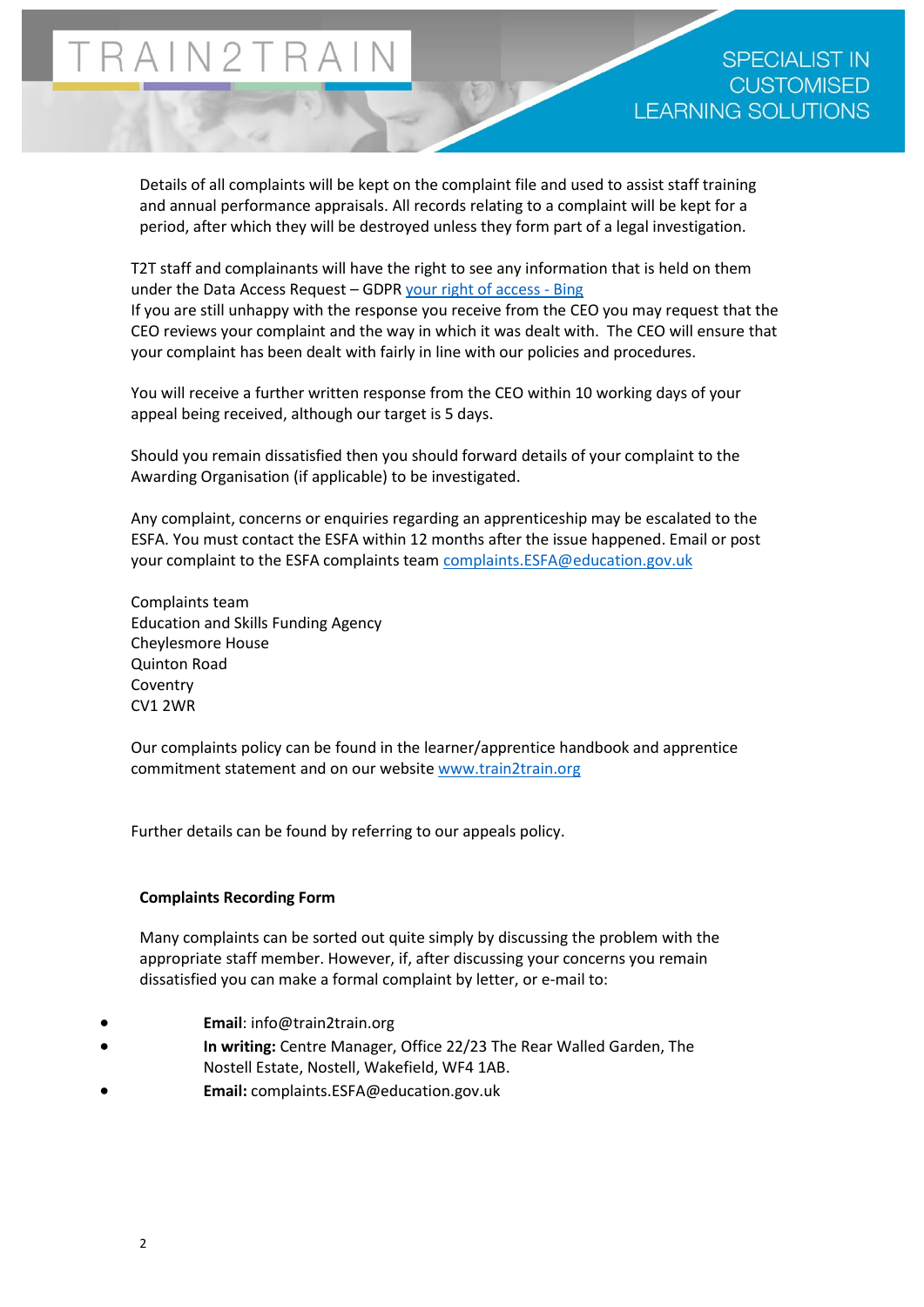Details of all complaints will be kept on the complaint file and used to assist staff training and annual performance appraisals. All records relating to a complaint will be kept for a period, after which they will be destroyed unless they form part of a legal investigation.

T2T staff and complainants will have the right to see any information that is held on them under the Data Access Request – GDPR [your right of](https://www.bing.com/search?q=your+right+of+access&src=IE-SearchBox&FORM=IEMAE2) access - Bing If you are still unhappy with the response you receive from the CEO you may request that the CEO reviews your complaint and the way in which it was dealt with. The CEO will ensure that your complaint has been dealt with fairly in line with our policies and procedures.

You will receive a further written response from the CEO within 10 working days of your appeal being received, although our target is 5 days.

Should you remain dissatisfied then you should forward details of your complaint to the Awarding Organisation (if applicable) to be investigated.

Any complaint, concerns or enquiries regarding an apprenticeship may be escalated to the ESFA. You must contact the ESFA within 12 months after the issue happened. Email or post your complaint to the ESFA complaints team [complaints.ESFA@education.gov.uk](mailto:complaints.ESFA@education.gov.uk)

Complaints team Education and Skills Funding Agency Cheylesmore House Quinton Road Coventry CV1 2WR

Our complaints policy can be found in the learner/apprentice handbook and apprentice commitment statement and on our website [www.train2train.org](http://www.train2train.org/)

Further details can be found by referring to our appeals policy.

#### **Complaints Recording Form**

Many complaints can be sorted out quite simply by discussing the problem with the appropriate staff member. However, if, after discussing your concerns you remain dissatisfied you can make a formal complaint by letter, or e-mail to:

- **Email**: info@train2train.org
- **In writing:** Centre Manager, Office 22/23 The Rear Walled Garden, The
- Nostell Estate, Nostell, Wakefield, WF4 1AB.
- **Email:** complaints.ESFA@education.gov.uk